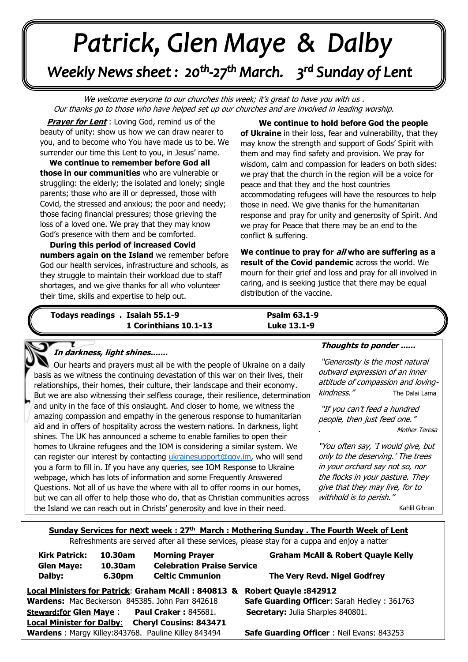# Patrick, Glen Maye & Dalby Weekly News sheet: 20<sup>th</sup>-27<sup>th</sup> March. 3<sup>rd</sup> Sunday of Lent

We welcome everyone to our churches this week; it's great to have you with us. Our thanks go to those who have helped set up our churches and are involved in leading worship.

*Our thanks go to those who have helped set up*<br>Prayer for Lent : Loving God, remind us of the beauty of unity: show us how we can draw nearer to you, and to become who You have made us to be. We surrender our time this Lent to you, in Jesus' name.

**those facing financial pressures; those grieving the loss of a loved one. We pray that they may know** God's presence with them and be comforted. **. We continue to remember before God all those in our communities** who are vulnerable or struggling: the elderly; the isolated and lonely; single parents; those who are ill or depressed, those with Covid, the stressed and anxious; the poor and needy; loss of a loved one. We pray that they may know

**During this period of increased Covid<br><b>numbers again on the Island** we remember before *June: Trime, skills and expertise to help out.*<br>  $\overline{a}$  **During this period of increased Covid**  God our health services, infrastructure and schools, as they struggle to maintain their workload due to staff shortages, and we give thanks for all who volunteer

 **We continue to hold before God the people of Ukraine** in their loss, fear and vulnerability, that they may know the strength and support of Gods' Spirit with them and may find safety and provision. We pray for wisdom, calm and compassion for leaders on both sides: we pray that the church in the region will be a voice for peace and that they and the host countries accommodating refugees will have the resources to help those in need. We give thanks for the humanitarian response and pray for unity and generosity of Spirit. And we pray for Peace that there may be an end to the conflict & suffering.

**We continue to pray for all who are suffering as a result of the Covid pandemic** across the world. We mourn for their grief and loss and pray for all involved in caring, and is seeking justice that there may be equal distribution of the vaccine.

 **Todays readings . Isaiah 55.1-9 Psalm 63.1-9 1 Corinthians 10.1-13 Luke 13.1-9**

# **In darkness, light shines.......**

But we are also witnessing their selfless courage, their resilience, determination and anty in the race of this onslaaght. And closer to home, we wideless the amazing compassion and empathy in the generous response to humanitarian  aid and in offers of hospitality across the western nations. In darkness, light can register our interest by contacting [ukrainesupport@gov.im,](mailto:ukrainesupport@gov.im) who will send  you a form to fill in. If you have any queries, see IOM Response to Ukraine Our hearts and prayers must all be with the people of Ukraine on a daily basis as we witness the continuing devastation of this war on their lives, their relationships, their homes, their culture, their landscape and their economy. and unity in the face of this onslaught. And closer to home, we witness the shines. The UK has announced a scheme to enable families to open their homes to Ukraine refugees and the IOM is considering a similar system. We webpage, which has lots of information and some Frequently Answered Questions. Not all of us have the where with all to offer rooms in our homes, but we can all offer to help those who do, that as Christian communities across the Island we can reach out in Christs' generosity and love in their need.

#### **Thoughts to ponder ......**

"Generosity is the most natural outward expression of an inner attitude of compassion and lovingkindness." The Dalai Lama

"If you can't feed a hundred people, then just feed one."

. Mother Teresa

"You often say, 'I would give, but only to the deserving.' The trees in your orchard say not so, nor the flocks in your pasture. They give that they may live, for to withhold is to perish."

. Kahlil Gibran

## **Sunday Services for next week : 27th March : Mothering Sunday . The Fourth Week of Lent**

Refreshments are served after all these services, please stay for a cuppa and enjoy a natter

| <b>Kirk Patrick:</b>                                              | 10.30am           | <b>Morning Prayer</b>                                       | <b>Graham McAll &amp; Robert Quayle Kelly</b>      |
|-------------------------------------------------------------------|-------------------|-------------------------------------------------------------|----------------------------------------------------|
| <b>Glen Maye:</b><br>Dalby:                                       | 10.30am<br>6.30pm | <b>Celebration Praise Service</b><br><b>Celtic Cmmunion</b> | The Very Revd. Nigel Godfrey                       |
| Local Ministers for Patrick: Graham McAll: 840813 &               |                   |                                                             | <b>Robert Quayle: 842912</b>                       |
|                                                                   |                   | Wardens: Mac Beckerson 845385. John Parr 842618             | <b>Safe Guarding Officer: Sarah Hedley: 361763</b> |
| <b>Steward:for Glen Maye:</b>                                     |                   | <b>Paul Craker: 845681.</b>                                 | Secretary: Julia Sharples 840801.                  |
| <b>Local Minister for Dalby:</b><br><b>Cheryl Cousins: 843471</b> |                   |                                                             |                                                    |
|                                                                   |                   | Wardens: Margy Killey: 843768. Pauline Killey 843494        | <b>Safe Guarding Officer: Neil Evans: 843253</b>   |